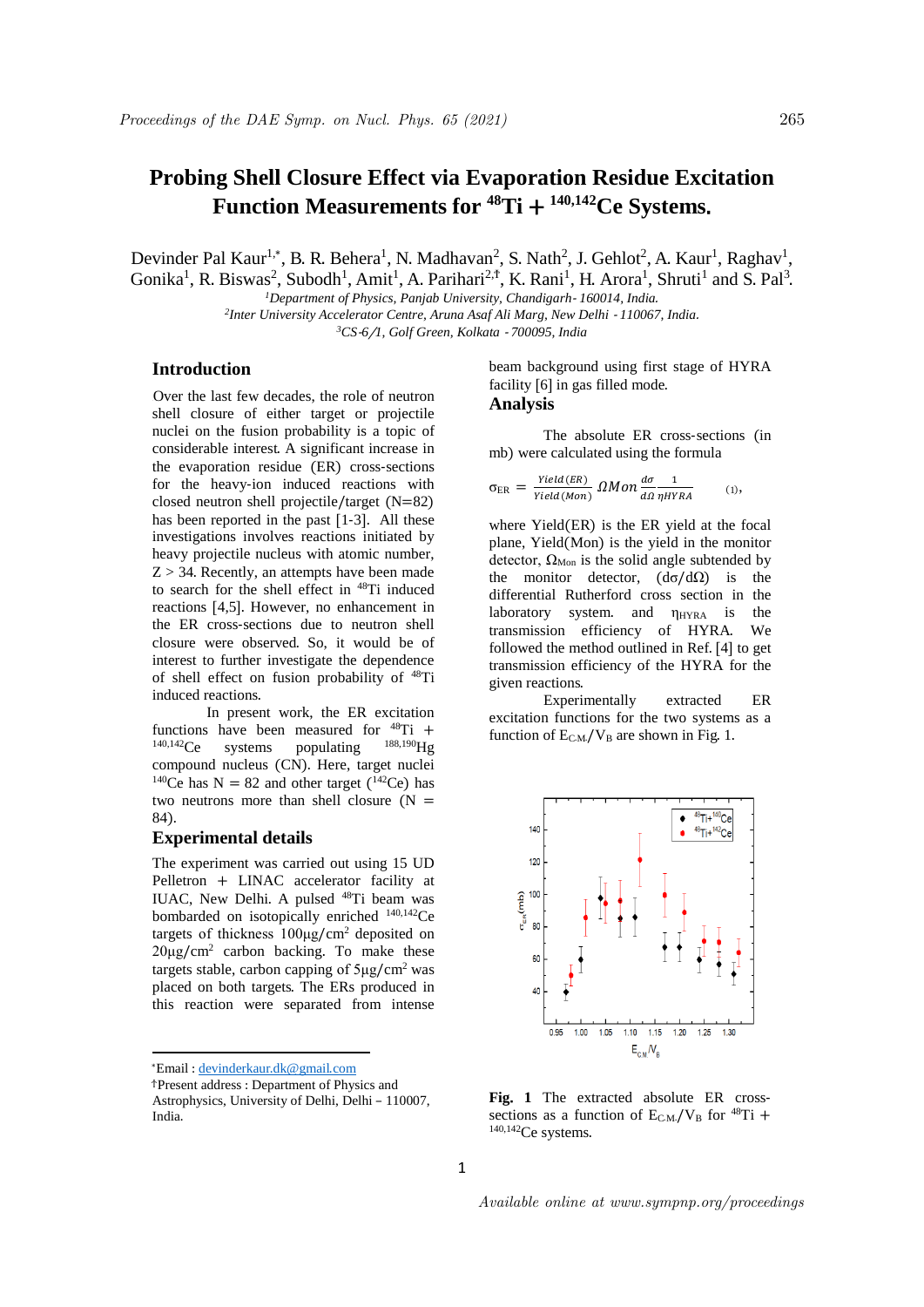# **Probing Shell Closure Effect via Evaporation Residue Excitation Function Measurements for <sup>48</sup>Ti** + **140,142Ce Systems**.

Devinder Pal Kaur<sup>1,\*</sup>, B. R. Behera<sup>1</sup>, N. Madhavan<sup>2</sup>, S. Nath<sup>2</sup>, J. Gehlot<sup>2</sup>, A. Kaur<sup>1</sup>, Raghav<sup>1</sup>, Gonika<sup>1</sup>, R. Biswas<sup>2</sup>, Subodh<sup>1</sup>, Amit<sup>1</sup>, A. Parihari<sup>2,†</sup>, K. Rani<sup>1</sup>, H. Arora<sup>1</sup>, Shruti<sup>1</sup> and S. Pal<sup>3</sup>.

*<sup>1</sup>Department of Physics, Panjab University, Chandigarh*- *160014, India*. <sup>2</sup> Inter University Accelerator Centre, Aruna Asaf Ali Marg, New Delhi - 110067, India. *<sup>3</sup>CS*-*6*/*1, Golf Green, Kolkata* - *700095, India*

## **Introduction**

<sup>1</sup>Over the last few decades, the role of neutron shell closure of either target or projectile nuclei on the fusion probability is a topic of considerable interest. A significant increase in the evaporation residue (ER) cross-sections for the heavy-ion induced reactions with closed neutron shell projectile/target (N=82) has been reported in the past [1-3]. All these investigations involves reactions initiated by heavy projectile nucleus with atomic number,  $Z > 34$ . Recently, an attempts have been made to search for the shell effect in <sup>48</sup>Ti induced reactions [4,5]. However, no enhancement in the ER cross-sections due to neutron shell closure were observed. So, it would be of interest to further investigate the dependence of shell effect on fusion probability of <sup>48</sup>Ti induced reactions.

In present work, the ER excitation functions have been measured for  $^{48}$ Ti +  $^{140,142}$ C<sub>e</sub> systems populating  $^{188,190}$ Hg systems populating compound nucleus (CN). Here, target nuclei <sup>140</sup>Ce has N = 82 and other target (<sup>142</sup>Ce) has two neutrons more than shell closure  $(N =$ 84).

#### **Experimental details**

The experiment was carried out using 15 UD Pelletron + LINAC accelerator facility at IUAC, New Delhi. A pulsed <sup>48</sup>Ti beam was bombarded on isotopically enriched 140,142Ce targets of thickness 100μg/cm<sup>2</sup> deposited on  $20\mu g/cm^2$  carbon backing. To make these targets stable, carbon capping of  $5\mu$ g/cm<sup>2</sup> was placed on both targets. The ERs produced in this reaction were separated from intense

\*Email : devinderkaur.dk@gmail.com

**.** 

beam background using first stage of HYRA facility [6] in gas filled mode. **Analysis**

The absolute ER cross-sections (in mb) were calculated using the formula

$$
\sigma_{\text{ER}} = \frac{\text{Yield(ER)}}{\text{Yield(Mon)}} \Omega M on \frac{d\sigma}{d\Omega} \frac{1}{\eta HYRA} \tag{1},
$$

where Yield(ER) is the ER yield at the focal plane, Yield(Mon) is the yield in the monitor detector,  $\Omega_{\text{Mon}}$  is the solid angle subtended by the monitor detector,  $(d\sigma/d\Omega)$  is the differential Rutherford cross section in the laboratory system. and  $\eta_{HYRA}$  is the transmission efficiency of HYRA. We followed the method outlined in Ref. [4] to get transmission efficiency of the HYRA for the given reactions.

Experimentally extracted ER excitation functions for the two systems as a function of  $E_{CM}/V_B$  are shown in Fig. 1.



**Fig**. **1** The extracted absolute ER crosssections as a function of  $E_{CM}/V_B$  for  $^{48}Ti$  + 140,142Ce systems.

<sup>Ϯ</sup>Present address : Department of Physics and Astrophysics, University of Delhi, Delhi – 110007, India.